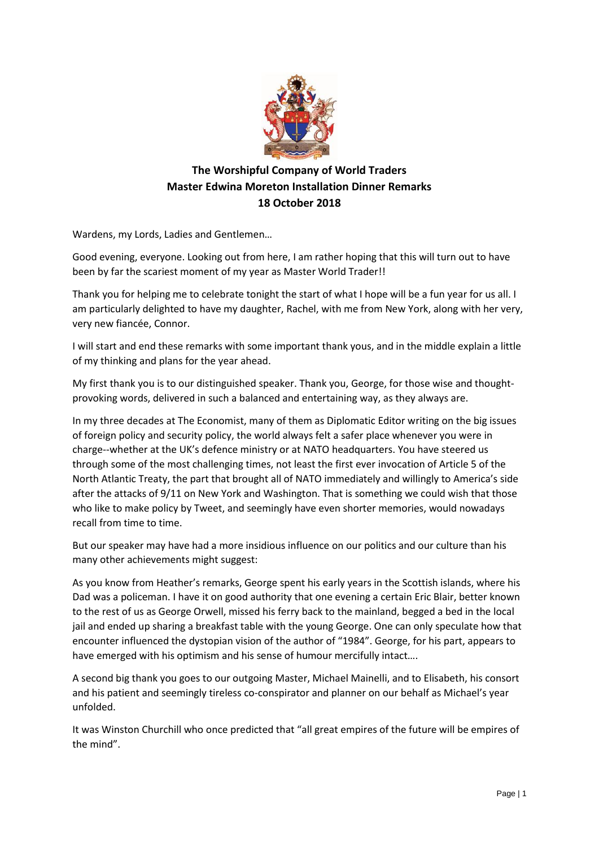

## **The Worshipful Company of World Traders Master Edwina Moreton Installation Dinner Remarks 18 October 2018**

Wardens, my Lords, Ladies and Gentlemen…

Good evening, everyone. Looking out from here, I am rather hoping that this will turn out to have been by far the scariest moment of my year as Master World Trader!!

Thank you for helping me to celebrate tonight the start of what I hope will be a fun year for us all. I am particularly delighted to have my daughter, Rachel, with me from New York, along with her very, very new fiancée, Connor.

I will start and end these remarks with some important thank yous, and in the middle explain a little of my thinking and plans for the year ahead.

My first thank you is to our distinguished speaker. Thank you, George, for those wise and thoughtprovoking words, delivered in such a balanced and entertaining way, as they always are.

In my three decades at The Economist, many of them as Diplomatic Editor writing on the big issues of foreign policy and security policy, the world always felt a safer place whenever you were in charge--whether at the UK's defence ministry or at NATO headquarters. You have steered us through some of the most challenging times, not least the first ever invocation of Article 5 of the North Atlantic Treaty, the part that brought all of NATO immediately and willingly to America's side after the attacks of 9/11 on New York and Washington. That is something we could wish that those who like to make policy by Tweet, and seemingly have even shorter memories, would nowadays recall from time to time.

But our speaker may have had a more insidious influence on our politics and our culture than his many other achievements might suggest:

As you know from Heather's remarks, George spent his early years in the Scottish islands, where his Dad was a policeman. I have it on good authority that one evening a certain Eric Blair, better known to the rest of us as George Orwell, missed his ferry back to the mainland, begged a bed in the local jail and ended up sharing a breakfast table with the young George. One can only speculate how that encounter influenced the dystopian vision of the author of "1984". George, for his part, appears to have emerged with his optimism and his sense of humour mercifully intact….

A second big thank you goes to our outgoing Master, Michael Mainelli, and to Elisabeth, his consort and his patient and seemingly tireless co-conspirator and planner on our behalf as Michael's year unfolded.

It was Winston Churchill who once predicted that "all great empires of the future will be empires of the mind".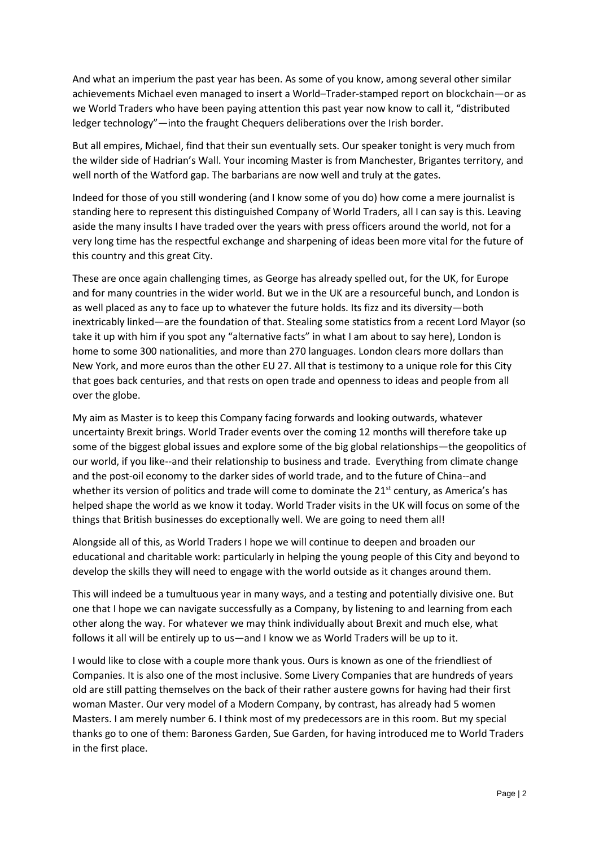And what an imperium the past year has been. As some of you know, among several other similar achievements Michael even managed to insert a World–Trader-stamped report on blockchain—or as we World Traders who have been paying attention this past year now know to call it, "distributed ledger technology"—into the fraught Chequers deliberations over the Irish border.

But all empires, Michael, find that their sun eventually sets. Our speaker tonight is very much from the wilder side of Hadrian's Wall. Your incoming Master is from Manchester, Brigantes territory, and well north of the Watford gap. The barbarians are now well and truly at the gates.

Indeed for those of you still wondering (and I know some of you do) how come a mere journalist is standing here to represent this distinguished Company of World Traders, all I can say is this. Leaving aside the many insults I have traded over the years with press officers around the world, not for a very long time has the respectful exchange and sharpening of ideas been more vital for the future of this country and this great City.

These are once again challenging times, as George has already spelled out, for the UK, for Europe and for many countries in the wider world. But we in the UK are a resourceful bunch, and London is as well placed as any to face up to whatever the future holds. Its fizz and its diversity—both inextricably linked—are the foundation of that. Stealing some statistics from a recent Lord Mayor (so take it up with him if you spot any "alternative facts" in what I am about to say here), London is home to some 300 nationalities, and more than 270 languages. London clears more dollars than New York, and more euros than the other EU 27. All that is testimony to a unique role for this City that goes back centuries, and that rests on open trade and openness to ideas and people from all over the globe.

My aim as Master is to keep this Company facing forwards and looking outwards, whatever uncertainty Brexit brings. World Trader events over the coming 12 months will therefore take up some of the biggest global issues and explore some of the big global relationships—the geopolitics of our world, if you like--and their relationship to business and trade. Everything from climate change and the post-oil economy to the darker sides of world trade, and to the future of China--and whether its version of politics and trade will come to dominate the 21<sup>st</sup> century, as America's has helped shape the world as we know it today. World Trader visits in the UK will focus on some of the things that British businesses do exceptionally well. We are going to need them all!

Alongside all of this, as World Traders I hope we will continue to deepen and broaden our educational and charitable work: particularly in helping the young people of this City and beyond to develop the skills they will need to engage with the world outside as it changes around them.

This will indeed be a tumultuous year in many ways, and a testing and potentially divisive one. But one that I hope we can navigate successfully as a Company, by listening to and learning from each other along the way. For whatever we may think individually about Brexit and much else, what follows it all will be entirely up to us—and I know we as World Traders will be up to it.

I would like to close with a couple more thank yous. Ours is known as one of the friendliest of Companies. It is also one of the most inclusive. Some Livery Companies that are hundreds of years old are still patting themselves on the back of their rather austere gowns for having had their first woman Master. Our very model of a Modern Company, by contrast, has already had 5 women Masters. I am merely number 6. I think most of my predecessors are in this room. But my special thanks go to one of them: Baroness Garden, Sue Garden, for having introduced me to World Traders in the first place.